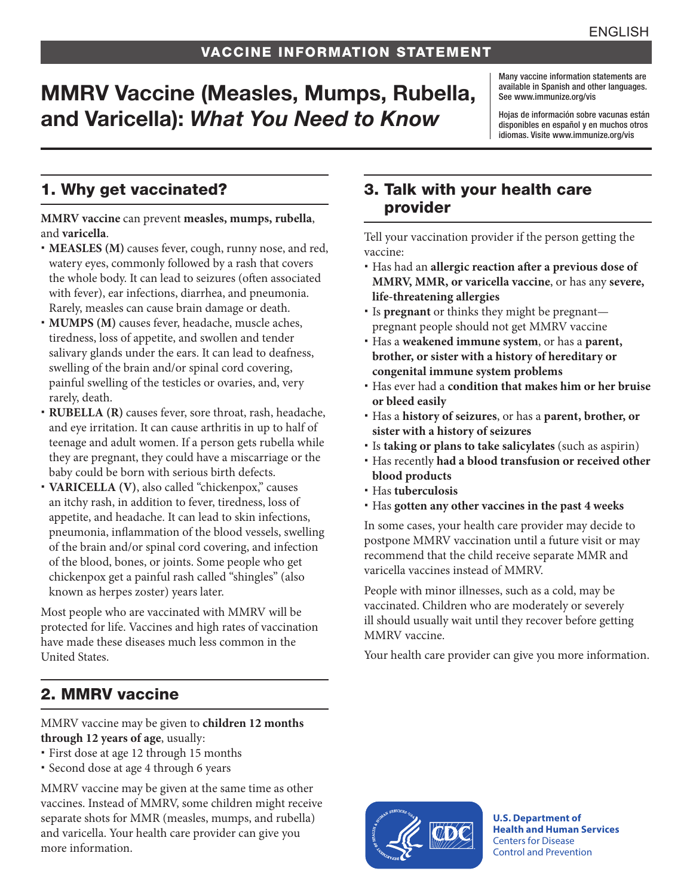# MMRV Vaccine (Measles, Mumps, Rubella, and Varicella): *What You Need to Know*

Many vaccine information statements are available in Spanish and other languages. See [www.immunize.org/vis](http://www.immunize.org/vis)

Hojas de información sobre vacunas están disponibles en español y en muchos otros idiomas. Visite [www.immunize.org/vis](http://www.immunize.org/vis)

### 1. Why get vaccinated?

**MMRV vaccine** can prevent **measles, mumps, rubella**, and **varicella**.

- **MEASLES (M)** causes fever, cough, runny nose, and red, watery eyes, commonly followed by a rash that covers the whole body. It can lead to seizures (often associated with fever), ear infections, diarrhea, and pneumonia. Rarely, measles can cause brain damage or death.
- **MUMPS (M)** causes fever, headache, muscle aches, tiredness, loss of appetite, and swollen and tender salivary glands under the ears. It can lead to deafness, swelling of the brain and/or spinal cord covering, painful swelling of the testicles or ovaries, and, very rarely, death.
- **RUBELLA (R)** causes fever, sore throat, rash, headache, and eye irritation. It can cause arthritis in up to half of teenage and adult women. If a person gets rubella while they are pregnant, they could have a miscarriage or the baby could be born with serious birth defects.
- VARICELLA (V), also called "chickenpox," causes an itchy rash, in addition to fever, tiredness, loss of appetite, and headache. It can lead to skin infections, pneumonia, inflammation of the blood vessels, swelling of the brain and/or spinal cord covering, and infection of the blood, bones, or joints. Some people who get chickenpox get a painful rash called "shingles" (also known as herpes zoster) years later.

Most people who are vaccinated with MMRV will be protected for life. Vaccines and high rates of vaccination have made these diseases much less common in the United States.

# 2. MMRV vaccine

#### MMRV vaccine may be given to **children 12 months through 12 years of age**, usually:

- First dose at age 12 through 15 months
- Second dose at age 4 through 6 years

MMRV vaccine may be given at the same time as other vaccines. Instead of MMRV, some children might receive separate shots for MMR (measles, mumps, and rubella) and varicella. Your health care provider can give you more information.

#### 3. Talk with your health care provider

Tell your vaccination provider if the person getting the vaccine:

- Has had an **allergic reaction after a previous dose of MMRV, MMR, or varicella vaccine**, or has any **severe, life-threatening allergies**
- Is **pregnant** or thinks they might be pregnant pregnant people should not get MMRV vaccine
- Has a **weakened immune system**, or has a **parent, brother, or sister with a history of hereditary or congenital immune system problems**
- Has ever had a **condition that makes him or her bruise or bleed easily**
- Has a **history of seizures**, or has a **parent, brother, or sister with a history of seizures**
- Is **taking or plans to take salicylates** (such as aspirin)
- Has recently **had a blood transfusion or received other blood products**
- Has **tuberculosis**
- Has **gotten any other vaccines in the past 4 weeks**

In some cases, your health care provider may decide to postpone MMRV vaccination until a future visit or may recommend that the child receive separate MMR and varicella vaccines instead of MMRV.

People with minor illnesses, such as a cold, may be vaccinated. Children who are moderately or severely ill should usually wait until they recover before getting MMRV vaccine.

Your health care provider can give you more information.



**U.S. Department of Health and Human Services**  Centers for Disease Control and Prevention